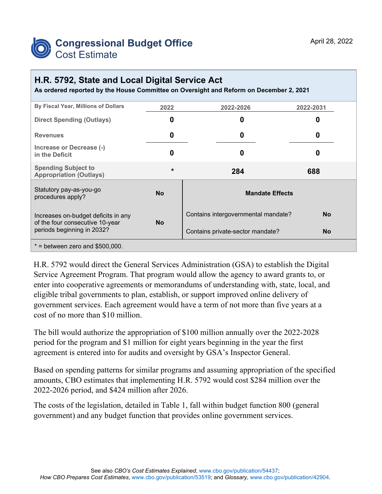

## **H.R. 5792, State and Local Digital Service Act**

**As ordered reported by the House Committee on Oversight and Reform on December 2, 2021**

| By Fiscal Year, Millions of Dollars                                    | 2022      | 2022-2026                           | 2022-2031 |  |  |  |
|------------------------------------------------------------------------|-----------|-------------------------------------|-----------|--|--|--|
| <b>Direct Spending (Outlays)</b>                                       | 0         | 0                                   | 0         |  |  |  |
| <b>Revenues</b>                                                        | 0         | 0                                   | 0         |  |  |  |
| Increase or Decrease (-)<br>in the Deficit                             | 0         | 0                                   | O         |  |  |  |
| <b>Spending Subject to</b><br><b>Appropriation (Outlays)</b>           | $\star$   | 284                                 | 688       |  |  |  |
| Statutory pay-as-you-go<br>procedures apply?                           | <b>No</b> | <b>Mandate Effects</b>              |           |  |  |  |
| Increases on-budget deficits in any<br>of the four consecutive 10-year | <b>No</b> | Contains intergovernmental mandate? | <b>No</b> |  |  |  |
| periods beginning in 2032?                                             |           | Contains private-sector mandate?    | <b>No</b> |  |  |  |
| $*$ = between zero and \$500,000.                                      |           |                                     |           |  |  |  |

H.R. 5792 would direct the General Services Administration (GSA) to establish the Digital Service Agreement Program. That program would allow the agency to award grants to, or enter into cooperative agreements or memorandums of understanding with, state, local, and eligible tribal governments to plan, establish, or support improved online delivery of government services. Each agreement would have a term of not more than five years at a cost of no more than \$10 million.

The bill would authorize the appropriation of \$100 million annually over the 2022-2028 period for the program and \$1 million for eight years beginning in the year the first agreement is entered into for audits and oversight by GSA's Inspector General.

Based on spending patterns for similar programs and assuming appropriation of the specified amounts, CBO estimates that implementing H.R. 5792 would cost \$284 million over the 2022-2026 period, and \$424 million after 2026.

The costs of the legislation, detailed in Table 1, fall within budget function 800 (general government) and any budget function that provides online government services.